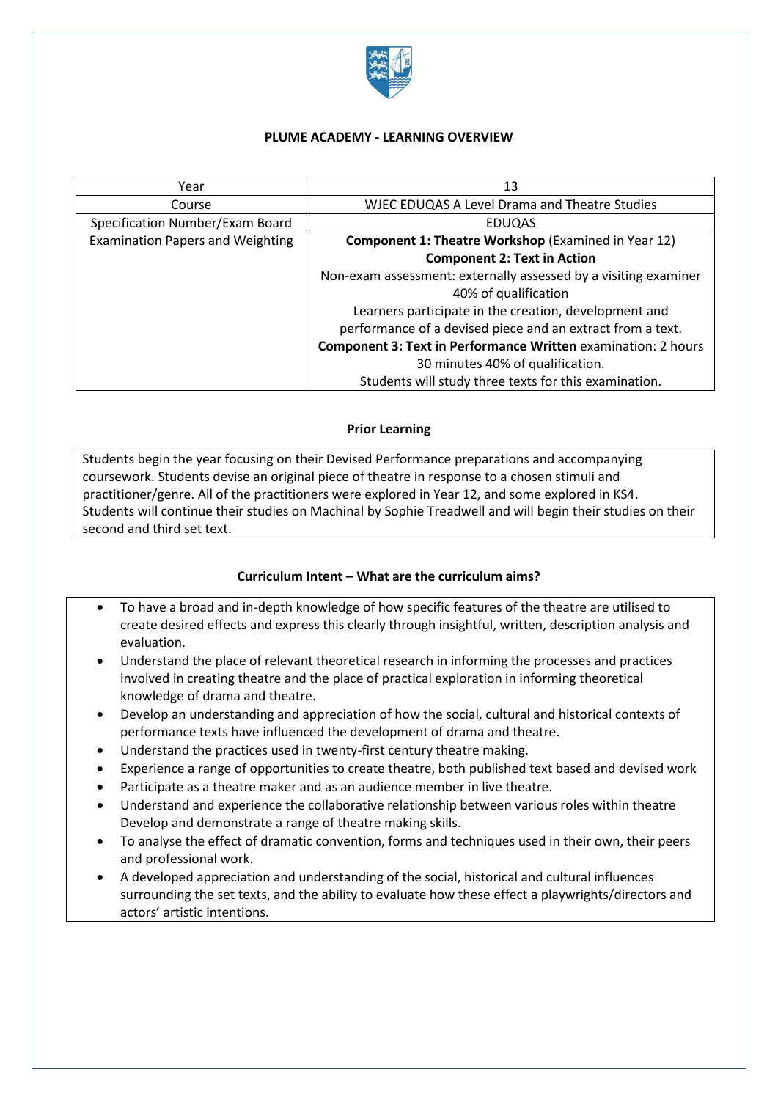

### **PLUME ACADEMY - LEARNING OVERVIEW**

| Year                                    | 13                                                                   |
|-----------------------------------------|----------------------------------------------------------------------|
| Course                                  | <b>WJEC EDUQAS A Level Drama and Theatre Studies</b>                 |
| Specification Number/Exam Board         | <b>EDUQAS</b>                                                        |
| <b>Examination Papers and Weighting</b> | <b>Component 1: Theatre Workshop (Examined in Year 12)</b>           |
|                                         | <b>Component 2: Text in Action</b>                                   |
|                                         | Non-exam assessment: externally assessed by a visiting examiner      |
|                                         | 40% of qualification                                                 |
|                                         | Learners participate in the creation, development and                |
|                                         | performance of a devised piece and an extract from a text.           |
|                                         | <b>Component 3: Text in Performance Written examination: 2 hours</b> |
|                                         | 30 minutes 40% of qualification.                                     |
|                                         | Students will study three texts for this examination.                |

### **Prior Learning**

Students begin the year focusing on their Devised Performance preparations and accompanying coursework. Students devise an original piece of theatre in response to a chosen stimuli and practitioner/genre. All of the practitioners were explored in Year 12, and some explored in KS4. Students will continue their studies on Machinal by Sophie Treadwell and will begin their studies on their second and third set text.

# **Curriculum Intent – What are the curriculum aims?**

- To have a broad and in-depth knowledge of how specific features of the theatre are utilised to create desired effects and express this clearly through insightful, written, description analysis and evaluation.
- Understand the place of relevant theoretical research in informing the processes and practices involved in creating theatre and the place of practical exploration in informing theoretical knowledge of drama and theatre.
- Develop an understanding and appreciation of how the social, cultural and historical contexts of performance texts have influenced the development of drama and theatre.
- Understand the practices used in twenty-first century theatre making.
- Experience a range of opportunities to create theatre, both published text based and devised work
- Participate as a theatre maker and as an audience member in live theatre.
- Understand and experience the collaborative relationship between various roles within theatre Develop and demonstrate a range of theatre making skills.
- To analyse the effect of dramatic convention, forms and techniques used in their own, their peers and professional work.
- A developed appreciation and understanding of the social, historical and cultural influences surrounding the set texts, and the ability to evaluate how these effect a playwrights/directors and actors' artistic intentions.